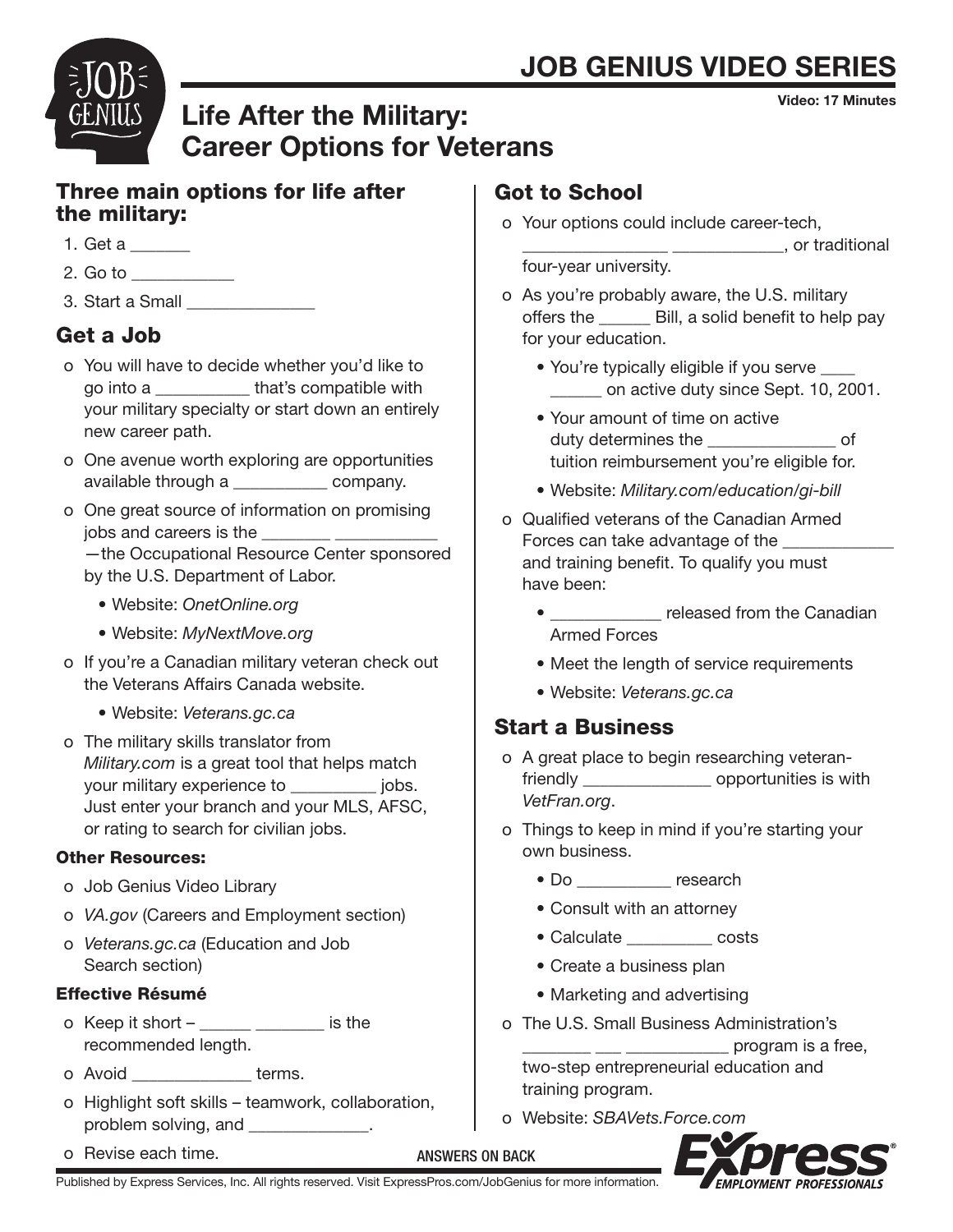# **JOB GENIUS VIDEO SERIE**

Video: 17 Minutes



# Life After the Military: Career Options for Veterans

### Three main options for life after the military:

- 1. Get a \_\_\_\_\_\_\_
- $2.$  Go to  $\blacksquare$
- 3. Start a Small \_\_\_\_\_\_\_\_\_\_\_\_\_\_\_

# Get a Job

- o You will have to decide whether you'd like to go into a \_\_\_\_\_\_\_\_\_\_\_ that's compatible with your military specialty or start down an entirely new career path.
- o One avenue worth exploring are opportunities available through a \_\_\_\_\_\_\_\_\_\_\_ company.
- o One great source of information on promising jobs and careers is the

 —the Occupational Resource Center sponsored by the U.S. Department of Labor.

- Website: *OnetOnline.org*
- Website: *MyNextMove.org*
- o If you're a Canadian military veteran check out the Veterans Affairs Canada website.
	- Website: *Veterans.gc.ca*
- o The military skills translator from *Military.com* is a great tool that helps match your military experience to \_\_\_\_\_\_\_\_\_\_ jobs. Just enter your branch and your MLS, AFSC, or rating to search for civilian jobs.

#### Other Resources:

- o Job Genius Video Library
- o *VA.gov* (Careers and Employment section)
- o *Veterans.gc.ca* (Education and Job Search section)

### Effective Résumé

- $o$  Keep it short  $-$  \_\_\_\_\_\_\_\_\_\_\_\_\_\_\_\_\_\_\_ is the recommended length.
- o Avoid **but terms**.
- o Highlight soft skills teamwork, collaboration, problem solving, and \_\_\_\_\_\_\_\_\_\_\_\_\_.

Published by Express Services, Inc. All rights reserved. Visit ExpressPros.com/JobGenius for more information.

o Revise each time.

# Got to School

- o Your options could include career-tech, \_\_\_\_\_\_\_\_\_\_\_\_\_\_\_\_\_ \_\_\_\_\_\_\_\_\_\_\_\_\_, or traditional four-year university.
- o As you're probably aware, the U.S. military offers the \_\_\_\_\_\_ Bill, a solid benefit to help pay for your education.
	- You're typically eligible if you serve \_\_\_\_ \_\_\_\_\_\_ on active duty since Sept. 10, 2001.
	- Your amount of time on active duty determines the **contact of** tuition reimbursement you're eligible for.
	- Website: *Military.com/education/gi-bill*
- o Qualified veterans of the Canadian Armed Forces can take advantage of the and training benefit. To qualify you must have been:
	- \_\_\_\_\_\_\_\_\_\_\_\_\_ released from the Canadian Armed Forces
	- Meet the length of service requirements
	- Website: *Veterans.gc.ca*

## Start a Business

- o A great place to begin researching veteran friendly \_\_\_\_\_\_\_\_\_\_\_\_\_\_\_\_\_\_\_\_ opportunities is with *VetFran.org*.
- o Things to keep in mind if you're starting your own business.
	- Do \_\_\_\_\_\_\_\_ research
	- Consult with an attorney
	- Calculate \_\_\_\_\_\_\_\_\_\_ costs
	- Create a business plan
	- Marketing and advertising
- o The U.S. Small Business Administration's program is a free,

 two-step entrepreneurial education and training program.

o Website: *SBAVets.Force.com*



ANSWERS ON BACK